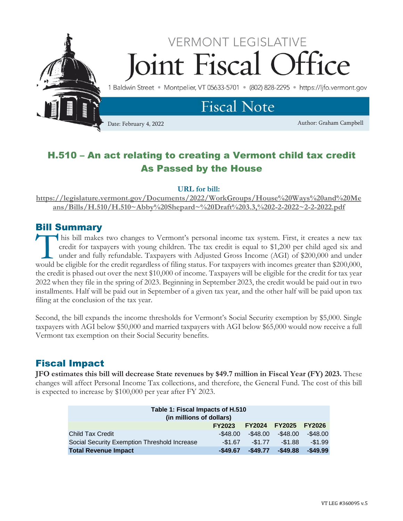

# H.510 – An act relating to creating a Vermont child tax credit As Passed by the House

#### **URL for bill:**

**[https://legislature.vermont.gov/Documents/2022/WorkGroups/House%20Ways%20and%20Me](https://legislature.vermont.gov/Documents/2022/WorkGroups/House%20Ways%20and%20Means/Bills/H.510/H.510~Abby%20Shepard~%20Draft%203.3,%202-2-2022~2-2-2022.pdf) [ans/Bills/H.510/H.510~Abby%20Shepard~%20Draft%203.3,%202-2-2022~2-2-2022.pdf](https://legislature.vermont.gov/Documents/2022/WorkGroups/House%20Ways%20and%20Means/Bills/H.510/H.510~Abby%20Shepard~%20Draft%203.3,%202-2-2022~2-2-2022.pdf)**

# Bill Summary

his bill makes two changes to Vermont's personal income tax system. First, it creates a new tax credit for taxpayers with young children. The tax credit is equal to \$1,200 per child aged six and under and fully refundable. Taxpayers with Adjusted Gross Income (AGI) of \$200,000 and under This bill makes two changes to Vermont's personal income tax system. First, it creates a new tax credit for taxpayers with young children. The tax credit is equal to \$1,200 per child aged six and under and fully refundable the credit is phased out over the next \$10,000 of income. Taxpayers will be eligible for the credit for tax year 2022 when they file in the spring of 2023. Beginning in September 2023, the credit would be paid out in two installments. Half will be paid out in September of a given tax year, and the other half will be paid upon tax filing at the conclusion of the tax year.

Second, the bill expands the income thresholds for Vermont's Social Security exemption by \$5,000. Single taxpayers with AGI below \$50,000 and married taxpayers with AGI below \$65,000 would now receive a full Vermont tax exemption on their Social Security benefits.

# Fiscal Impact

**JFO estimates this bill will decrease State revenues by \$49.7 million in Fiscal Year (FY) 2023.** These changes will affect Personal Income Tax collections, and therefore, the General Fund. The cost of this bill is expected to increase by \$100,000 per year after FY 2023.

| Table 1: Fiscal Impacts of H.510<br>(in millions of dollars) |               |               |               |               |  |  |  |
|--------------------------------------------------------------|---------------|---------------|---------------|---------------|--|--|--|
|                                                              | <b>FY2023</b> | <b>FY2024</b> | <b>FY2025</b> | <b>FY2026</b> |  |  |  |
| <b>Child Tax Credit</b>                                      | $-$ \$48.00   | $-$ \$48.00   | $-$ \$48.00   | $-$ \$48.00   |  |  |  |
| Social Security Exemption Threshold Increase                 | $-$1.67$      | $-$1.77$      | $-$1.88$      | $-$1.99$      |  |  |  |
| <b>Total Revenue Impact</b>                                  | $-$49.67$     | $-$ \$49.77   | $-$49.88$     | $-$49.99$     |  |  |  |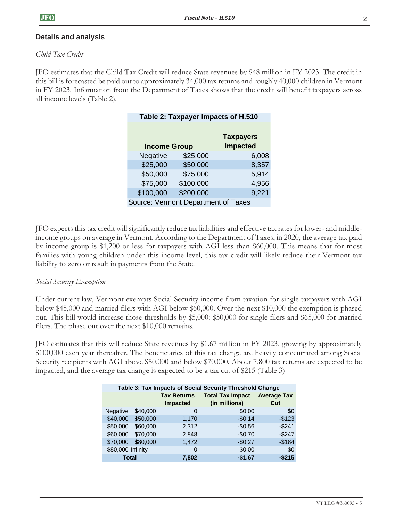## **Details and analysis**

### *Child Tax Credit*

JFO estimates that the Child Tax Credit will reduce State revenues by \$48 million in FY 2023. The credit in this bill is forecasted be paid out to approximately 34,000 tax returns and roughly 40,000 children in Vermont in FY 2023. Information from the Department of Taxes shows that the credit will benefit taxpayers across all income levels (Table 2).

|                     | Table 2: Taxpayer Impacts of H.510  |                  |       |  |  |  |
|---------------------|-------------------------------------|------------------|-------|--|--|--|
|                     |                                     |                  |       |  |  |  |
|                     |                                     | <b>Taxpayers</b> |       |  |  |  |
| <b>Income Group</b> |                                     | <b>Impacted</b>  |       |  |  |  |
|                     | Negative                            | \$25,000         | 6,008 |  |  |  |
|                     | \$25,000                            | \$50,000         | 8,357 |  |  |  |
|                     | \$50,000                            | \$75,000         | 5,914 |  |  |  |
|                     | \$75,000                            | \$100,000        | 4,956 |  |  |  |
|                     | \$100,000                           | \$200,000        | 9,221 |  |  |  |
|                     | Source: Vermont Department of Taxes |                  |       |  |  |  |
|                     |                                     |                  |       |  |  |  |

JFO expects this tax credit will significantly reduce tax liabilities and effective tax rates for lower- and middleincome groups on average in Vermont. According to the Department of Taxes, in 2020, the average tax paid by income group is \$1,200 or less for taxpayers with AGI less than \$60,000. This means that for most families with young children under this income level, this tax credit will likely reduce their Vermont tax liability to zero or result in payments from the State.

### *Social Security Exemption*

Under current law, Vermont exempts Social Security income from taxation for single taxpayers with AGI below \$45,000 and married filers with AGI below \$60,000. Over the next \$10,000 the exemption is phased out. This bill would increase those thresholds by \$5,000: \$50,000 for single filers and \$65,000 for married filers. The phase out over the next \$10,000 remains.

JFO estimates that this will reduce State revenues by \$1.67 million in FY 2023, growing by approximately \$100,000 each year thereafter. The beneficiaries of this tax change are heavily concentrated among Social Security recipients with AGI above \$50,000 and below \$70,000. About 7,800 tax returns are expected to be impacted, and the average tax change is expected to be a tax cut of \$215 (Table 3)

| Table 3: Tax Impacts of Social Security Threshold Change |          |                    |                         |                    |  |  |  |
|----------------------------------------------------------|----------|--------------------|-------------------------|--------------------|--|--|--|
|                                                          |          | <b>Tax Returns</b> | <b>Total Tax Impact</b> | <b>Average Tax</b> |  |  |  |
|                                                          |          | <b>Impacted</b>    | (in millions)           | Cut                |  |  |  |
| Negative                                                 | \$40,000 | O                  | \$0.00                  | \$0                |  |  |  |
| \$40,000                                                 | \$50,000 | 1,170              | $-$0.14$                | $-$123$            |  |  |  |
| \$50,000                                                 | \$60,000 | 2,312              | $-$0.56$                | $-$241$            |  |  |  |
| \$60,000                                                 | \$70,000 | 2,848              | $-$0.70$                | $-$247$            |  |  |  |
| \$70,000                                                 | \$80,000 | 1,472              | $-$0.27$                | $-$184$            |  |  |  |
| \$80,000 Infinity                                        |          | 0                  | \$0.00                  | \$0                |  |  |  |
| <b>Total</b>                                             |          | 7,802              | $-$1.67$                | $-$215$            |  |  |  |